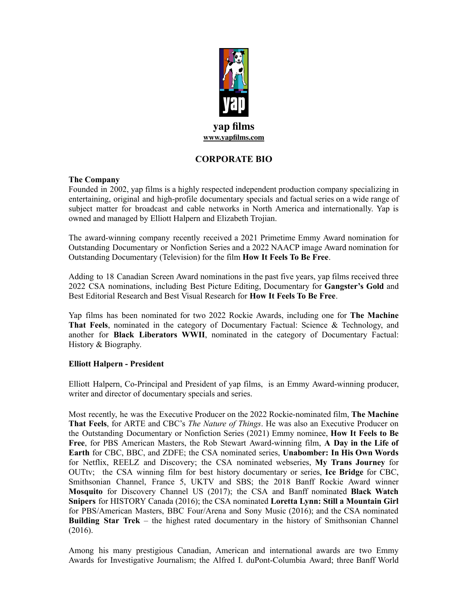

## **CORPORATE BIO**

#### **The Company**

Founded in 2002, yap films is a highly respected independent production company specializing in entertaining, original and high-profile documentary specials and factual series on a wide range of subject matter for broadcast and cable networks in North America and internationally. Yap is owned and managed by Elliott Halpern and Elizabeth Trojian.

The award-winning company recently received a 2021 Primetime Emmy Award nomination for Outstanding Documentary or Nonfiction Series and a 2022 NAACP image Award nomination for Outstanding Documentary (Television) for the film **How It Feels To Be Free**.

Adding to 18 Canadian Screen Award nominations in the past five years, yap films received three 2022 CSA nominations, including Best Picture Editing, Documentary for **Gangster's Gold** and Best Editorial Research and Best Visual Research for **How It Feels To Be Free**.

Yap films has been nominated for two 2022 Rockie Awards, including one for **The Machine That Feels**, nominated in the category of Documentary Factual: Science & Technology, and another for **Black Liberators WWII**, nominated in the category of Documentary Factual: History & Biography.

### **Elliott Halpern - President**

Elliott Halpern, Co-Principal and President of yap films, is an Emmy Award-winning producer, writer and director of documentary specials and series.

Most recently, he was the Executive Producer on the 2022 Rockie-nominated film, **The Machine That Feels**, for ARTE and CBC's *The Nature of Things*. He was also an Executive Producer on the Outstanding Documentary or Nonfiction Series (2021) Emmy nominee, **How It Feels to Be Free**, for PBS American Masters, the Rob Stewart Award-winning film, **A Day in the Life of Earth** for CBC, BBC, and ZDFE; the CSA nominated series, **Unabomber: In His Own Words** for Netflix, REELZ and Discovery; the CSA nominated webseries, **My Trans Journey** for OUTtv; the CSA winning film for best history documentary or series, **Ice Bridge** for CBC, Smithsonian Channel, France 5, UKTV and SBS; the 2018 Banff Rockie Award winner **Mosquito** for Discovery Channel US (2017); the CSA and Banff nominated **Black Watch Snipers** for HISTORY Canada (2016); the CSA nominated **Loretta Lynn: Still a Mountain Girl** for PBS/American Masters, BBC Four/Arena and Sony Music (2016); and the CSA nominated **Building Star Trek** – the highest rated documentary in the history of Smithsonian Channel (2016).

Among his many prestigious Canadian, American and international awards are two Emmy Awards for Investigative Journalism; the Alfred I. duPont-Columbia Award; three Banff World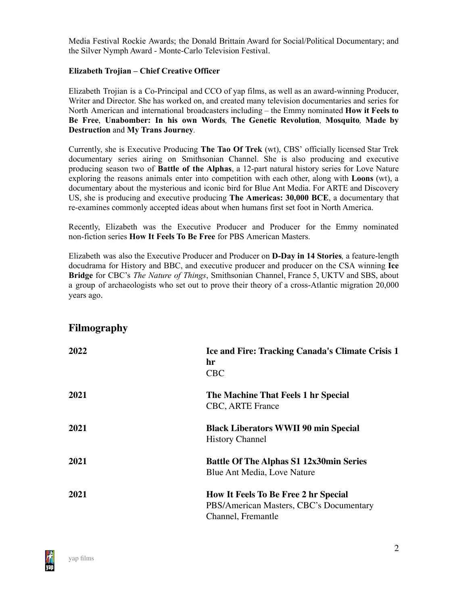Media Festival Rockie Awards; the Donald Brittain Award for Social/Political Documentary; and the Silver Nymph Award - Monte-Carlo Television Festival.

### **Elizabeth Trojian – Chief Creative Officer**

Elizabeth Trojian is a Co-Principal and CCO of yap films, as well as an award-winning Producer, Writer and Director. She has worked on, and created many television documentaries and series for North American and international broadcasters including – the Emmy nominated **How it Feels to Be Free**, **Unabomber: In his own Words***,* **The Genetic Revolution***,* **Mosquito***,* **Made by Destruction** and **My Trans Journey***.*

Currently, she is Executive Producing **The Tao Of Trek** (wt), CBS' officially licensed Star Trek documentary series airing on Smithsonian Channel. She is also producing and executive producing season two of **Battle of the Alphas**, a 12-part natural history series for Love Nature exploring the reasons animals enter into competition with each other, along with **Loons** (wt), a documentary about the mysterious and iconic bird for Blue Ant Media. For ARTE and Discovery US, she is producing and executive producing **The Americas: 30,000 BCE**, a documentary that re-examines commonly accepted ideas about when humans first set foot in North America.

Recently, Elizabeth was the Executive Producer and Producer for the Emmy nominated non-fiction series **How It Feels To Be Free** for PBS American Masters.

Elizabeth was also the Executive Producer and Producer on **D-Day in 14 Stories***,* a feature-length docudrama for History and BBC, and executive producer and producer on the CSA winning **Ice Bridge** for CBC's *The Nature of Things*, Smithsonian Channel, France 5, UKTV and SBS, about a group of archaeologists who set out to prove their theory of a cross-Atlantic migration 20,000 years ago.

# **Filmography**

| 2022 | Ice and Fire: Tracking Canada's Climate Crisis 1<br>hr<br><b>CBC</b>                                         |
|------|--------------------------------------------------------------------------------------------------------------|
| 2021 | The Machine That Feels 1 hr Special<br><b>CBC, ARTE France</b>                                               |
| 2021 | <b>Black Liberators WWII 90 min Special</b><br><b>History Channel</b>                                        |
| 2021 | <b>Battle Of The Alphas S1 12x30min Series</b><br>Blue Ant Media, Love Nature                                |
| 2021 | <b>How It Feels To Be Free 2 hr Special</b><br>PBS/American Masters, CBC's Documentary<br>Channel, Fremantle |

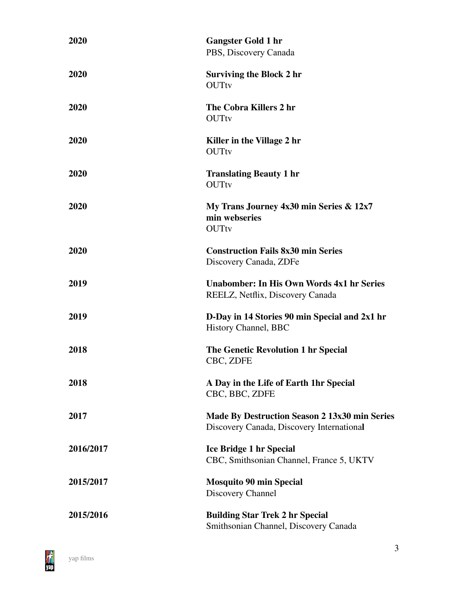| 2020      | <b>Gangster Gold 1 hr</b><br>PBS, Discovery Canada                                                |
|-----------|---------------------------------------------------------------------------------------------------|
| 2020      | <b>Surviving the Block 2 hr</b><br><b>OUTtv</b>                                                   |
| 2020      | The Cobra Killers 2 hr<br><b>OUTtv</b>                                                            |
| 2020      | Killer in the Village 2 hr<br><b>OUTtv</b>                                                        |
| 2020      | <b>Translating Beauty 1 hr</b><br><b>OUTtv</b>                                                    |
| 2020      | My Trans Journey 4x30 min Series & 12x7<br>min webseries<br><b>OUTtv</b>                          |
| 2020      | <b>Construction Fails 8x30 min Series</b><br>Discovery Canada, ZDFe                               |
| 2019      | <b>Unabomber: In His Own Words 4x1 hr Series</b><br>REELZ, Netflix, Discovery Canada              |
| 2019      | D-Day in 14 Stories 90 min Special and 2x1 hr<br>History Channel, BBC                             |
| 2018      | The Genetic Revolution 1 hr Special<br>CBC, ZDFE                                                  |
| 2018      | A Day in the Life of Earth 1hr Special<br>CBC, BBC, ZDFE                                          |
| 2017      | <b>Made By Destruction Season 2 13x30 min Series</b><br>Discovery Canada, Discovery International |
| 2016/2017 | <b>Ice Bridge 1 hr Special</b><br>CBC, Smithsonian Channel, France 5, UKTV                        |
| 2015/2017 | <b>Mosquito 90 min Special</b><br>Discovery Channel                                               |
| 2015/2016 | <b>Building Star Trek 2 hr Special</b><br>Smithsonian Channel, Discovery Canada                   |

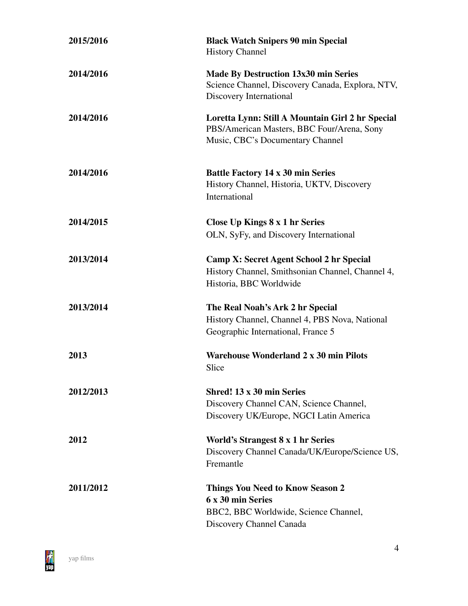| 2015/2016   | <b>Black Watch Snipers 90 min Special</b><br><b>History Channel</b>                                                                |
|-------------|------------------------------------------------------------------------------------------------------------------------------------|
| 2014/2016   | <b>Made By Destruction 13x30 min Series</b><br>Science Channel, Discovery Canada, Explora, NTV,<br>Discovery International         |
| 2014/2016   | Loretta Lynn: Still A Mountain Girl 2 hr Special<br>PBS/American Masters, BBC Four/Arena, Sony<br>Music, CBC's Documentary Channel |
| 2014/2016   | <b>Battle Factory 14 x 30 min Series</b><br>History Channel, Historia, UKTV, Discovery<br>International                            |
| 2014/2015   | Close Up Kings 8 x 1 hr Series                                                                                                     |
|             | OLN, SyFy, and Discovery International                                                                                             |
| 2013/2014   | Camp X: Secret Agent School 2 hr Special                                                                                           |
|             | History Channel, Smithsonian Channel, Channel 4,                                                                                   |
|             | Historia, BBC Worldwide                                                                                                            |
| 2013/2014   | The Real Noah's Ark 2 hr Special                                                                                                   |
|             | History Channel, Channel 4, PBS Nova, National                                                                                     |
|             | Geographic International, France 5                                                                                                 |
| 2013        | <b>Warehouse Wonderland 2 x 30 min Pilots</b>                                                                                      |
|             | Slice                                                                                                                              |
| 2012/2013   | Shred! 13 x 30 min Series                                                                                                          |
|             | Discovery Channel CAN, Science Channel,                                                                                            |
|             | Discovery UK/Europe, NGCI Latin America                                                                                            |
| <b>2012</b> | World's Strangest 8 x 1 hr Series                                                                                                  |
|             | Discovery Channel Canada/UK/Europe/Science US,                                                                                     |
|             | Fremantle                                                                                                                          |
| 2011/2012   | <b>Things You Need to Know Season 2</b>                                                                                            |
|             | 6 x 30 min Series                                                                                                                  |
|             | BBC2, BBC Worldwide, Science Channel,                                                                                              |
|             | Discovery Channel Canada                                                                                                           |

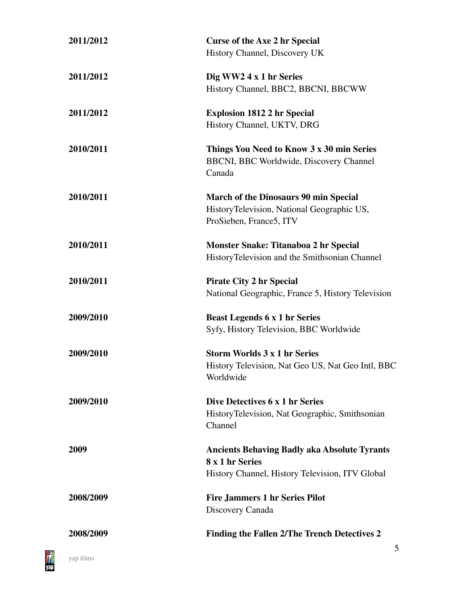| 2011/2012 | <b>Curse of the Axe 2 hr Special</b>                |
|-----------|-----------------------------------------------------|
|           | History Channel, Discovery UK                       |
| 2011/2012 | Dig WW2 4 x 1 hr Series                             |
|           | History Channel, BBC2, BBCNI, BBCWW                 |
| 2011/2012 | <b>Explosion 1812 2 hr Special</b>                  |
|           | History Channel, UKTV, DRG                          |
| 2010/2011 | Things You Need to Know 3 x 30 min Series           |
|           | <b>BBCNI, BBC Worldwide, Discovery Channel</b>      |
|           | Canada                                              |
| 2010/2011 | <b>March of the Dinosaurs 90 min Special</b>        |
|           | HistoryTelevision, National Geographic US,          |
|           | ProSieben, France5, ITV                             |
| 2010/2011 | <b>Monster Snake: Titanaboa 2 hr Special</b>        |
|           | HistoryTelevision and the Smithsonian Channel       |
| 2010/2011 | <b>Pirate City 2 hr Special</b>                     |
|           | National Geographic, France 5, History Television   |
| 2009/2010 | <b>Beast Legends 6 x 1 hr Series</b>                |
|           | Syfy, History Television, BBC Worldwide             |
| 2009/2010 | <b>Storm Worlds 3 x 1 hr Series</b>                 |
|           | History Television, Nat Geo US, Nat Geo Intl, BBC   |
|           | Worldwide                                           |
| 2009/2010 | Dive Detectives 6 x 1 hr Series                     |
|           | HistoryTelevision, Nat Geographic, Smithsonian      |
|           | Channel                                             |
| 2009      | <b>Ancients Behaving Badly aka Absolute Tyrants</b> |
|           | 8 x 1 hr Series                                     |
|           | History Channel, History Television, ITV Global     |
| 2008/2009 | <b>Fire Jammers 1 hr Series Pilot</b>               |
|           | Discovery Canada                                    |
| 2008/2009 | Finding the Fallen 2/The Trench Detectives 2        |
|           |                                                     |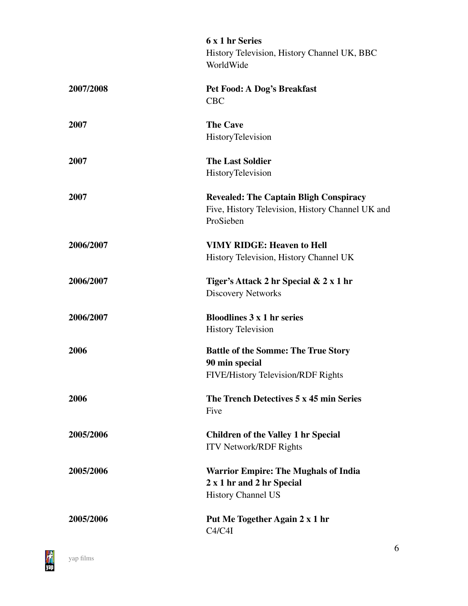|           | 6 x 1 hr Series                                  |
|-----------|--------------------------------------------------|
|           | History Television, History Channel UK, BBC      |
|           | WorldWide                                        |
|           |                                                  |
| 2007/2008 | Pet Food: A Dog's Breakfast                      |
|           | <b>CBC</b>                                       |
| 2007      | <b>The Cave</b>                                  |
|           | HistoryTelevision                                |
|           | <b>The Last Soldier</b>                          |
| 2007      |                                                  |
|           | HistoryTelevision                                |
| 2007      | <b>Revealed: The Captain Bligh Conspiracy</b>    |
|           | Five, History Television, History Channel UK and |
|           | ProSieben                                        |
| 2006/2007 | <b>VIMY RIDGE: Heaven to Hell</b>                |
|           | History Television, History Channel UK           |
|           |                                                  |
| 2006/2007 | Tiger's Attack 2 hr Special & 2 x 1 hr           |
|           | <b>Discovery Networks</b>                        |
| 2006/2007 | <b>Bloodlines 3 x 1 hr series</b>                |
|           | <b>History Television</b>                        |
|           |                                                  |
| 2006      | <b>Battle of the Somme: The True Story</b>       |
|           | 90 min special                                   |
|           | <b>FIVE/History Television/RDF Rights</b>        |
| 2006      | The Trench Detectives 5 x 45 min Series          |
|           | Five                                             |
|           |                                                  |
| 2005/2006 | <b>Children of the Valley 1 hr Special</b>       |
|           | <b>ITV Network/RDF Rights</b>                    |
| 2005/2006 | <b>Warrior Empire: The Mughals of India</b>      |
|           | 2 x 1 hr and 2 hr Special                        |
|           | <b>History Channel US</b>                        |
| 2005/2006 | Put Me Together Again 2 x 1 hr                   |
|           | C4/C4I                                           |
|           |                                                  |

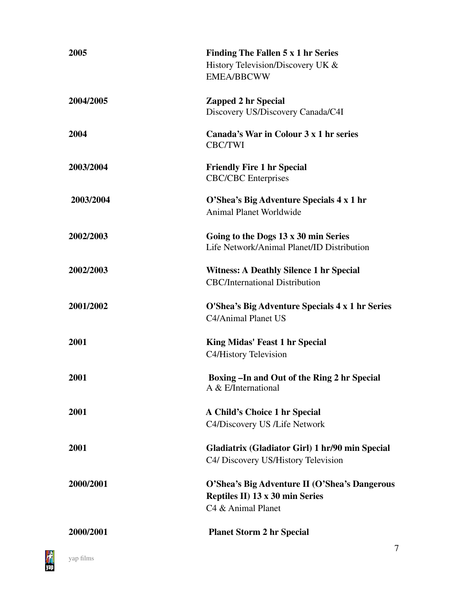| 2005      | Finding The Fallen 5 x 1 hr Series<br>History Television/Discovery UK $&$<br><b>EMEA/BBCWW</b>         |
|-----------|--------------------------------------------------------------------------------------------------------|
| 2004/2005 | <b>Zapped 2 hr Special</b><br>Discovery US/Discovery Canada/C4I                                        |
| 2004      | Canada's War in Colour 3 x 1 hr series<br><b>CBC/TWI</b>                                               |
| 2003/2004 | <b>Friendly Fire 1 hr Special</b><br><b>CBC/CBC</b> Enterprises                                        |
| 2003/2004 | O'Shea's Big Adventure Specials 4 x 1 hr<br><b>Animal Planet Worldwide</b>                             |
| 2002/2003 | Going to the Dogs 13 x 30 min Series<br>Life Network/Animal Planet/ID Distribution                     |
| 2002/2003 | <b>Witness: A Deathly Silence 1 hr Special</b><br><b>CBC/International Distribution</b>                |
| 2001/2002 | O'Shea's Big Adventure Specials 4 x 1 hr Series<br>C4/Animal Planet US                                 |
| 2001      | King Midas' Feast 1 hr Special<br>C4/History Television                                                |
| 2001      | Boxing - In and Out of the Ring 2 hr Special<br>A & E/International                                    |
| 2001      | A Child's Choice 1 hr Special<br>C4/Discovery US /Life Network                                         |
| 2001      | Gladiatrix (Gladiator Girl) 1 hr/90 min Special<br>C4/ Discovery US/History Television                 |
| 2000/2001 | O'Shea's Big Adventure II (O'Shea's Dangerous<br>Reptiles II) 13 x 30 min Series<br>C4 & Animal Planet |
| 2000/2001 | <b>Planet Storm 2 hr Special</b>                                                                       |